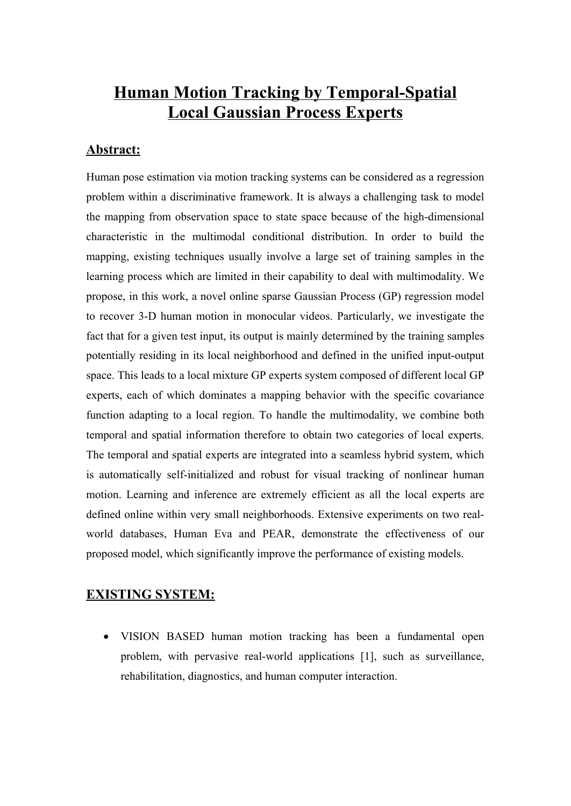# **Human Motion Tracking by Temporal-Spatial Local Gaussian Process Experts**

# **Abstract:**

Human pose estimation via motion tracking systems can be considered as a regression problem within a discriminative framework. It is always a challenging task to model the mapping from observation space to state space because of the high-dimensional characteristic in the multimodal conditional distribution. In order to build the mapping, existing techniques usually involve a large set of training samples in the learning process which are limited in their capability to deal with multimodality. We propose, in this work, a novel online sparse Gaussian Process (GP) regression model to recover 3-D human motion in monocular videos. Particularly, we investigate the fact that for a given test input, its output is mainly determined by the training samples potentially residing in its local neighborhood and defined in the unified input-output space. This leads to a local mixture GP experts system composed of different local GP experts, each of which dominates a mapping behavior with the specific covariance function adapting to a local region. To handle the multimodality, we combine both temporal and spatial information therefore to obtain two categories of local experts. The temporal and spatial experts are integrated into a seamless hybrid system, which is automatically self-initialized and robust for visual tracking of nonlinear human motion. Learning and inference are extremely efficient as all the local experts are defined online within very small neighborhoods. Extensive experiments on two realworld databases, Human Eva and PEAR, demonstrate the effectiveness of our proposed model, which significantly improve the performance of existing models.

# **EXISTING SYSTEM:**

· VISION BASED human motion tracking has been a fundamental open problem, with pervasive real-world applications [1], such as surveillance, rehabilitation, diagnostics, and human computer interaction.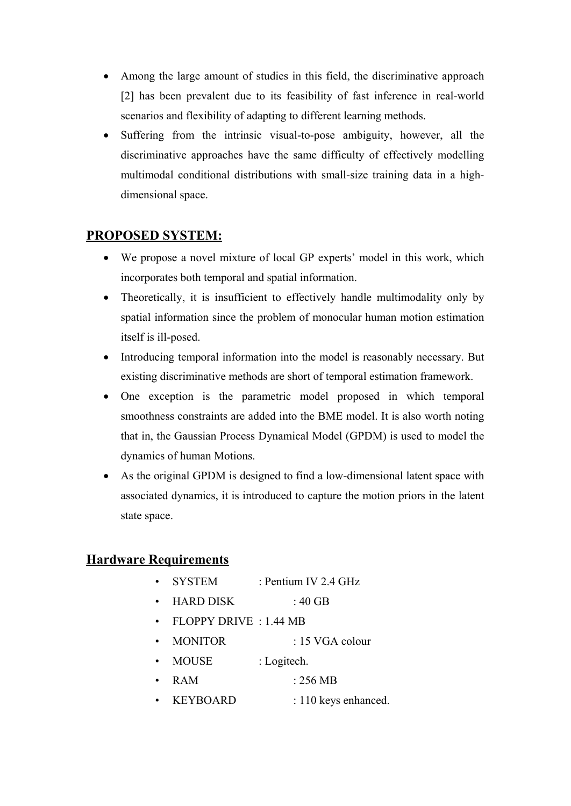- · Among the large amount of studies in this field, the discriminative approach [2] has been prevalent due to its feasibility of fast inference in real-world scenarios and flexibility of adapting to different learning methods.
- · Suffering from the intrinsic visual-to-pose ambiguity, however, all the discriminative approaches have the same difficulty of effectively modelling multimodal conditional distributions with small-size training data in a highdimensional space.

# **PROPOSED SYSTEM:**

- We propose a novel mixture of local GP experts' model in this work, which incorporates both temporal and spatial information.
- Theoretically, it is insufficient to effectively handle multimodality only by spatial information since the problem of monocular human motion estimation itself is ill-posed.
- · Introducing temporal information into the model is reasonably necessary. But existing discriminative methods are short of temporal estimation framework.
- · One exception is the parametric model proposed in which temporal smoothness constraints are added into the BME model. It is also worth noting that in, the Gaussian Process Dynamical Model (GPDM) is used to model the dynamics of human Motions.
- As the original GPDM is designed to find a low-dimensional latent space with associated dynamics, it is introduced to capture the motion priors in the latent state space.

# **Hardware Requirements**

- SYSTEM : Pentium IV 2.4 GHz
- $\cdot$  HARD DISK : 40 GB
- FLOPPY DRIVE : 1.44 MB
- MONITOR : 15 VGA colour
- MOUSE : Logitech.
- RAM : 256 MB
- KEYBOARD : 110 keys enhanced.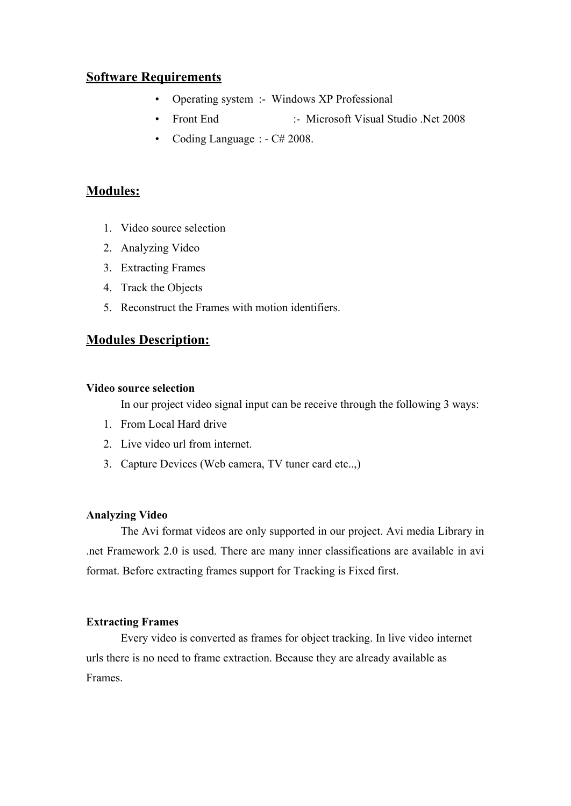## **Software Requirements**

- Operating system :- Windows XP Professional
- Front End :- Microsoft Visual Studio .Net 2008
- Coding Language : C# 2008.

# **Modules:**

- 1. Video source selection
- 2. Analyzing Video
- 3. Extracting Frames
- 4. Track the Objects
- 5. Reconstruct the Frames with motion identifiers.

#### **Modules Description:**

#### **Video source selection**

In our project video signal input can be receive through the following 3 ways:

- 1. From Local Hard drive
- 2. Live video url from internet.
- 3. Capture Devices (Web camera, TV tuner card etc..,)

#### **Analyzing Video**

The Avi format videos are only supported in our project. Avi media Library in .net Framework 2.0 is used. There are many inner classifications are available in avi format. Before extracting frames support for Tracking is Fixed first.

#### **Extracting Frames**

Every video is converted as frames for object tracking. In live video internet urls there is no need to frame extraction. Because they are already available as Frames.